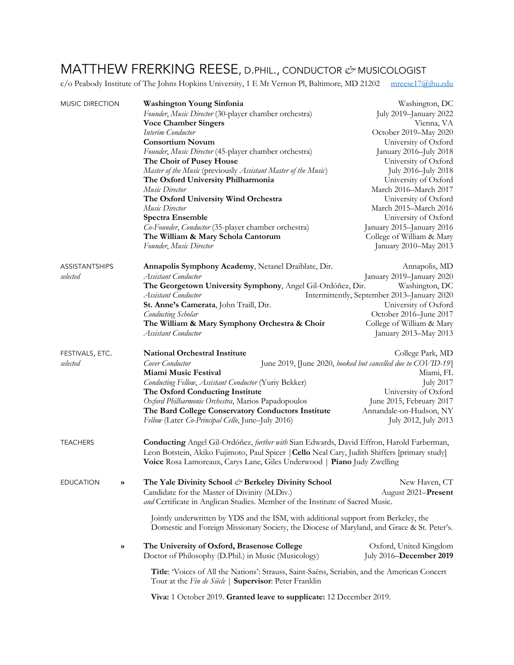## MATTHEW FRERKING REESE, D.PHIL., CONDUCTOR *&* MUSICOLOGIST

c/o Peabody Institute of The Johns Hopkins University, 1 E Mt Vernon Pl, Baltimore, MD 21202 mreese17@jhu.edu

| <b>MUSIC DIRECTION</b> |   | Washington Young Sinfonia                                                                                                                              | Washington, DC                                               |  |
|------------------------|---|--------------------------------------------------------------------------------------------------------------------------------------------------------|--------------------------------------------------------------|--|
|                        |   | Founder, Music Director (30-player chamber orchestra)                                                                                                  | July 2019-January 2022                                       |  |
|                        |   | <b>Voce Chamber Singers</b>                                                                                                                            | Vienna, VA                                                   |  |
|                        |   | Interim Conductor                                                                                                                                      | October 2019-May 2020                                        |  |
|                        |   | <b>Consortium Novum</b>                                                                                                                                | University of Oxford                                         |  |
|                        |   | Founder, Music Director (45-player chamber orchestra)                                                                                                  | January 2016-July 2018                                       |  |
|                        |   | The Choir of Pusey House                                                                                                                               | University of Oxford                                         |  |
|                        |   | Master of the Music (previously Assistant Master of the Music)                                                                                         | July 2016-July 2018                                          |  |
|                        |   | The Oxford University Philharmonia                                                                                                                     | University of Oxford                                         |  |
|                        |   | Music Director                                                                                                                                         | March 2016-March 2017                                        |  |
|                        |   | The Oxford University Wind Orchestra                                                                                                                   | University of Oxford                                         |  |
|                        |   | Music Director                                                                                                                                         | March 2015-March 2016                                        |  |
|                        |   | <b>Spectra Ensemble</b>                                                                                                                                | University of Oxford                                         |  |
|                        |   | Co-Founder, Conductor (35-player chamber orchestra)                                                                                                    | January 2015-January 2016                                    |  |
|                        |   | The William & Mary Schola Cantorum                                                                                                                     | College of William & Mary                                    |  |
|                        |   | Founder, Music Director                                                                                                                                | January 2010-May 2013                                        |  |
| <b>ASSISTANTSHIPS</b>  |   | Annapolis Symphony Academy, Netanel Draiblate, Dir.                                                                                                    | Annapolis, MD                                                |  |
| selected               |   | Assistant Conductor                                                                                                                                    | January 2019-January 2020                                    |  |
|                        |   | The Georgetown University Symphony, Angel Gil-Ordóñez, Dir.                                                                                            | Washington, DC                                               |  |
|                        |   | Assistant Conductor                                                                                                                                    | Intermittently, September 2013-January 2020                  |  |
|                        |   | St. Anne's Camerata, John Traill, Dir.                                                                                                                 | University of Oxford                                         |  |
|                        |   | <b>Conducting Scholar</b>                                                                                                                              | October 2016-June 2017                                       |  |
|                        |   | The William & Mary Symphony Orchestra & Choir                                                                                                          | College of William & Mary                                    |  |
|                        |   | Assistant Conductor                                                                                                                                    | January 2013-May 2013                                        |  |
| FESTIVALS, ETC.        |   | <b>National Orchestral Institute</b>                                                                                                                   | College Park, MD                                             |  |
| selected               |   | Cover Conductor                                                                                                                                        | June 2019, [June 2020, booked but cancelled due to COVID-19] |  |
|                        |   | Miami Music Festival                                                                                                                                   | Miami, FL                                                    |  |
|                        |   | Conducting Fellow, Assistant Conductor (Yuriy Bekker)                                                                                                  | <b>July 2017</b>                                             |  |
|                        |   | The Oxford Conducting Institute                                                                                                                        | University of Oxford                                         |  |
|                        |   | Oxford Philharmonic Orchestra, Marios Papadopoulos                                                                                                     | June 2015, February 2017                                     |  |
|                        |   | The Bard College Conservatory Conductors Institute                                                                                                     | Annandale-on-Hudson, NY                                      |  |
|                        |   | Fellow (Later Co-Principal Cello, June-July 2016)                                                                                                      | July 2012, July 2013                                         |  |
| <b>TEACHERS</b>        |   | Conducting Angel Gil-Ordóñez, further with Sian Edwards, David Effron, Harold Farberman,                                                               |                                                              |  |
|                        |   | Leon Botstein, Akiko Fujimoto, Paul Spicer   Cello Neal Cary, Judith Shiffers [primary study]                                                          |                                                              |  |
|                        |   | Voice Rosa Lamoreaux, Carys Lane, Giles Underwood   Piano Judy Zwelling                                                                                |                                                              |  |
| EDUCATION              | » | The Yale Divinity School & Berkeley Divinity School                                                                                                    | New Haven, CT                                                |  |
|                        |   | Candidate for the Master of Divinity (M.Div.)                                                                                                          | August 2021-Present                                          |  |
|                        |   | and Certificate in Anglican Studies. Member of the Institute of Sacred Music.                                                                          |                                                              |  |
|                        |   | Jointly underwritten by YDS and the ISM, with additional support from Berkeley, the                                                                    |                                                              |  |
|                        |   | Domestic and Foreign Missionary Society, the Diocese of Maryland, and Grace & St. Peter's.                                                             |                                                              |  |
|                        | ≫ | The University of Oxford, Brasenose College                                                                                                            | Oxford, United Kingdom                                       |  |
|                        |   | Doctor of Philosophy (D.Phil.) in Music (Musicology)                                                                                                   | July 2016–December 2019                                      |  |
|                        |   | Title: 'Voices of All the Nations': Strauss, Saint-Saëns, Scriabin, and the American Concert<br>Tour at the Fin de Siècle   Supervisor: Peter Franklin |                                                              |  |

**Viva:** 1 October 2019. **Granted leave to supplicate:** 12 December 2019.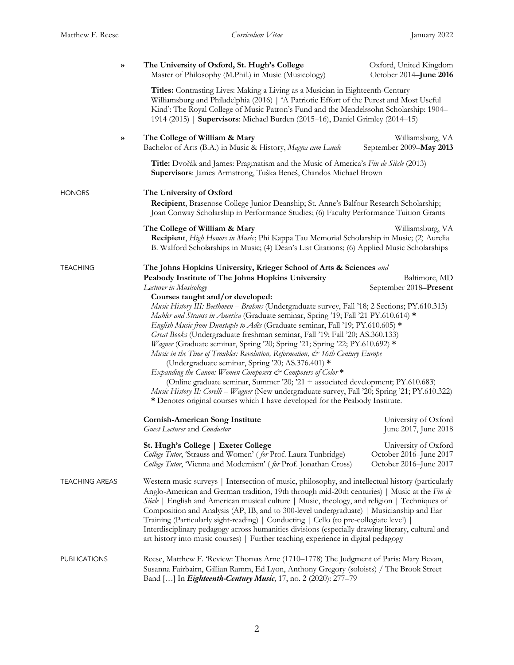| ≫                     | The University of Oxford, St. Hugh's College<br>Master of Philosophy (M.Phil.) in Music (Musicology)                                                                                                                                                                                                                                                                                                                                                                                                                                                                                                                                                                                                                                                                                                                                                                                                                                                                                                                                                                                                                                                                                                                                                                                                                                                                       | Oxford, United Kingdom<br>October 2014-June 2016                                                                                                                    |  |  |
|-----------------------|----------------------------------------------------------------------------------------------------------------------------------------------------------------------------------------------------------------------------------------------------------------------------------------------------------------------------------------------------------------------------------------------------------------------------------------------------------------------------------------------------------------------------------------------------------------------------------------------------------------------------------------------------------------------------------------------------------------------------------------------------------------------------------------------------------------------------------------------------------------------------------------------------------------------------------------------------------------------------------------------------------------------------------------------------------------------------------------------------------------------------------------------------------------------------------------------------------------------------------------------------------------------------------------------------------------------------------------------------------------------------|---------------------------------------------------------------------------------------------------------------------------------------------------------------------|--|--|
|                       | Titles: Contrasting Lives: Making a Living as a Musician in Eighteenth-Century<br>Williamsburg and Philadelphia (2016)   'A Patriotic Effort of the Purest and Most Useful<br>Kind': The Royal College of Music Patron's Fund and the Mendelssohn Scholarship: 1904–<br>1914 (2015)   Supervisors: Michael Burden (2015–16), Daniel Grimley (2014–15)                                                                                                                                                                                                                                                                                                                                                                                                                                                                                                                                                                                                                                                                                                                                                                                                                                                                                                                                                                                                                      |                                                                                                                                                                     |  |  |
| »                     | The College of William & Mary<br>Bachelor of Arts (B.A.) in Music & History, Magna cum Laude                                                                                                                                                                                                                                                                                                                                                                                                                                                                                                                                                                                                                                                                                                                                                                                                                                                                                                                                                                                                                                                                                                                                                                                                                                                                               | Williamsburg, VA<br>September 2009-May 2013                                                                                                                         |  |  |
|                       | Title: Dvořák and James: Pragmatism and the Music of America's Fin de Siècle (2013)<br>Supervisors: James Armstrong, Tuška Beneš, Chandos Michael Brown                                                                                                                                                                                                                                                                                                                                                                                                                                                                                                                                                                                                                                                                                                                                                                                                                                                                                                                                                                                                                                                                                                                                                                                                                    |                                                                                                                                                                     |  |  |
| HONORS                | The University of Oxford<br>Recipient, Brasenose College Junior Deanship; St. Anne's Balfour Research Scholarship;<br>Joan Conway Scholarship in Performance Studies; (6) Faculty Performance Tuition Grants                                                                                                                                                                                                                                                                                                                                                                                                                                                                                                                                                                                                                                                                                                                                                                                                                                                                                                                                                                                                                                                                                                                                                               |                                                                                                                                                                     |  |  |
|                       | The College of William & Mary<br>Recipient, High Honors in Music; Phi Kappa Tau Memorial Scholarship in Music; (2) Aurelia<br>B. Walford Scholarships in Music; (4) Dean's List Citations; (6) Applied Music Scholarships                                                                                                                                                                                                                                                                                                                                                                                                                                                                                                                                                                                                                                                                                                                                                                                                                                                                                                                                                                                                                                                                                                                                                  | Williamsburg, VA                                                                                                                                                    |  |  |
| TEACHING              | The Johns Hopkins University, Krieger School of Arts & Sciences and<br>Peabody Institute of The Johns Hopkins University<br>Lecturer in Musicology<br>Courses taught and/or developed:<br>Music History III: Beethoven - Brahms (Undergraduate survey, Fall '18; 2 Sections; PY.610.313)<br>Mahler and Strauss in America (Graduate seminar, Spring '19; Fall '21 PY.610.614) *<br>English Music from Dunstaple to Adès (Graduate seminar, Fall '19; PY.610.605) *<br>Great Books (Undergraduate freshman seminar, Fall '19; Fall '20; AS.360.133)<br>Wagner (Graduate seminar, Spring '20; Spring '21; Spring '22; PY.610.692) *<br>Music in the Time of Troubles: Revolution, Reformation, & 16th Century Europe<br>(Undergraduate seminar, Spring '20; AS.376.401) *<br>Expanding the Canon: Women Composers & Composers of Color *<br>(Online graduate seminar, Summer '20; '21 + associated development; PY.610.683)<br>Music History II: Corelli - Wagner (New undergraduate survey, Fall '20; Spring '21; PY.610.322)<br>* Denotes original courses which I have developed for the Peabody Institute.<br><b>Cornish-American Song Institute</b><br><b>Guest Lecturer and Conductor</b><br>St. Hugh's College   Exeter College<br>College Tutor, 'Strauss and Women' (for Prof. Laura Tunbridge)<br>College Tutor, 'Vienna and Modernism' (for Prof. Jonathan Cross) | Baltimore, MD<br>September 2018-Present<br>University of Oxford<br>June 2017, June 2018<br>University of Oxford<br>October 2016-June 2017<br>October 2016-June 2017 |  |  |
| <b>TEACHING AREAS</b> | Western music surveys   Intersection of music, philosophy, and intellectual history (particularly<br>Anglo-American and German tradition, 19th through mid-20th centuries)   Music at the Fin de<br>Siècle   English and American musical culture   Music, theology, and religion   Techniques of<br>Composition and Analysis (AP, IB, and to 300-level undergraduate)   Musicianship and Ear<br>Training (Particularly sight-reading)   Conducting   Cello (to pre-collegiate level)<br>Interdisciplinary pedagogy across humanities divisions (especially drawing literary, cultural and<br>art history into music courses)   Further teaching experience in digital pedagogy                                                                                                                                                                                                                                                                                                                                                                                                                                                                                                                                                                                                                                                                                            |                                                                                                                                                                     |  |  |
| PUBLICATIONS          | Reese, Matthew F. 'Review: Thomas Arne (1710-1778) The Judgment of Paris: Mary Bevan,<br>Susanna Fairbairn, Gillian Ramm, Ed Lyon, Anthony Gregory (soloists) / The Brook Street<br>Band [] In <i>Eighteenth-Century Music</i> , 17, no. 2 (2020): 277-79                                                                                                                                                                                                                                                                                                                                                                                                                                                                                                                                                                                                                                                                                                                                                                                                                                                                                                                                                                                                                                                                                                                  |                                                                                                                                                                     |  |  |